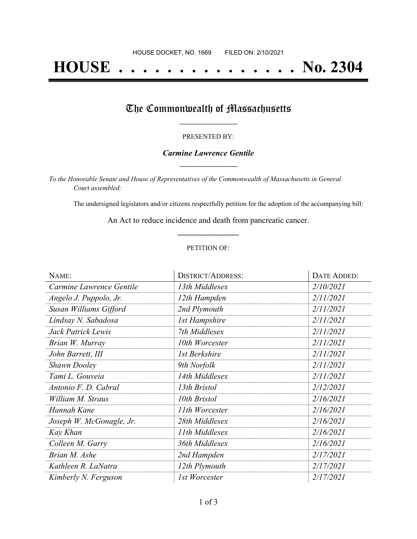# **HOUSE . . . . . . . . . . . . . . . No. 2304**

## The Commonwealth of Massachusetts

#### PRESENTED BY:

#### *Carmine Lawrence Gentile* **\_\_\_\_\_\_\_\_\_\_\_\_\_\_\_\_\_**

*To the Honorable Senate and House of Representatives of the Commonwealth of Massachusetts in General Court assembled:*

The undersigned legislators and/or citizens respectfully petition for the adoption of the accompanying bill:

An Act to reduce incidence and death from pancreatic cancer. **\_\_\_\_\_\_\_\_\_\_\_\_\_\_\_**

#### PETITION OF:

| NAME:                    | <b>DISTRICT/ADDRESS:</b> | DATE ADDED: |
|--------------------------|--------------------------|-------------|
| Carmine Lawrence Gentile | 13th Middlesex           | 2/10/2021   |
| Angelo J. Puppolo, Jr.   | 12th Hampden             | 2/11/2021   |
| Susan Williams Gifford   | 2nd Plymouth             | 2/11/2021   |
| Lindsay N. Sabadosa      | <b>1st Hampshire</b>     | 2/11/2021   |
| Jack Patrick Lewis       | 7th Middlesex            | 2/11/2021   |
| Brian W. Murray          | 10th Worcester           | 2/11/2021   |
| John Barrett, III        | 1st Berkshire            | 2/11/2021   |
| <b>Shawn Dooley</b>      | 9th Norfolk              | 2/11/2021   |
| Tami L. Gouveia          | 14th Middlesex           | 2/11/2021   |
| Antonio F. D. Cabral     | 13th Bristol             | 2/12/2021   |
| William M. Straus        | 10th Bristol             | 2/16/2021   |
| Hannah Kane              | 11th Worcester           | 2/16/2021   |
| Joseph W. McGonagle, Jr. | 28th Middlesex           | 2/16/2021   |
| Kay Khan                 | 11th Middlesex           | 2/16/2021   |
| Colleen M. Garry         | 36th Middlesex           | 2/16/2021   |
| Brian M. Ashe            | 2nd Hampden              | 2/17/2021   |
| Kathleen R. LaNatra      | 12th Plymouth            | 2/17/2021   |
| Kimberly N. Ferguson     | 1st Worcester            | 2/17/2021   |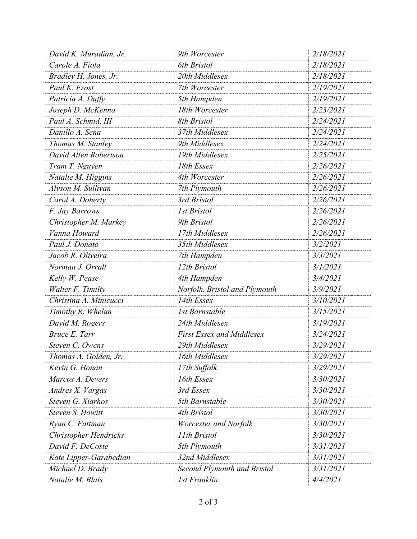| David K. Muradian, Jr.       | 9th Worcester                      | 2/18/2021 |
|------------------------------|------------------------------------|-----------|
| Carole A. Fiola              | 6th Bristol                        | 2/18/2021 |
| Bradley H. Jones, Jr.        | 20th Middlesex                     | 2/18/2021 |
| Paul K. Frost                | 7th Worcester                      | 2/19/2021 |
| Patricia A. Duffy            | 5th Hampden                        | 2/19/2021 |
| Joseph D. McKenna            | 18th Worcester                     | 2/23/2021 |
| Paul A. Schmid, III          | 8th Bristol                        | 2/24/2021 |
| Danillo A. Sena              | 37th Middlesex                     | 2/24/2021 |
| Thomas M. Stanley            | 9th Middlesex                      | 2/24/2021 |
| David Allen Robertson        | 19th Middlesex                     | 2/25/2021 |
| Tram T. Nguyen               | 18th Essex                         | 2/26/2021 |
| Natalie M. Higgins           | 4th Worcester                      | 2/26/2021 |
| Alyson M. Sullivan           | 7th Plymouth                       | 2/26/2021 |
| Carol A. Doherty             | 3rd Bristol                        | 2/26/2021 |
| F. Jay Barrows               | <b>1st Bristol</b>                 | 2/26/2021 |
| Christopher M. Markey        | 9th Bristol                        | 2/26/2021 |
| Vanna Howard                 | 17th Middlesex                     | 2/26/2021 |
| Paul J. Donato               | 35th Middlesex                     | 3/2/2021  |
| Jacob R. Oliveira            | 7th Hampden                        | 3/3/2021  |
| Norman J. Orrall             | 12th Bristol                       | 3/1/2021  |
| Kelly W. Pease               | 4th Hampden                        | 3/4/2021  |
| Walter F. Timilty            | Norfolk, Bristol and Plymouth      | 3/9/2021  |
| Christina A. Minicucci       | 14th Essex                         | 3/10/2021 |
| Timothy R. Whelan            | <b>1st Barnstable</b>              | 3/15/2021 |
| David M. Rogers              | 24th Middlesex                     | 3/19/2021 |
| Bruce E. Tarr                | <b>First Essex and Middlesex</b>   | 3/24/2021 |
| Steven C. Owens              | 29th Middlesex                     | 3/29/2021 |
| Thomas A. Golden, Jr.        | 16th Middlesex                     | 3/29/2021 |
| Kevin G. Honan               | 17th Suffolk                       | 3/29/2021 |
| Marcos A. Devers             | 16th Essex                         | 3/30/2021 |
| Andres X. Vargas             | 3rd Essex                          | 3/30/2021 |
| Steven G. Xiarhos            | 5th Barnstable                     | 3/30/2021 |
| Steven S. Howitt             | 4th Bristol                        | 3/30/2021 |
| Ryan C. Fattman              | Worcester and Norfolk              | 3/30/2021 |
| <b>Christopher Hendricks</b> | 11th Bristol                       | 3/30/2021 |
| David F. DeCoste             | 5th Plymouth                       | 3/31/2021 |
| Kate Lipper-Garabedian       | 32nd Middlesex                     | 3/31/2021 |
| Michael D. Brady             | <b>Second Plymouth and Bristol</b> | 3/31/2021 |
| Natalie M. Blais             | <b>1st Franklin</b>                | 4/4/2021  |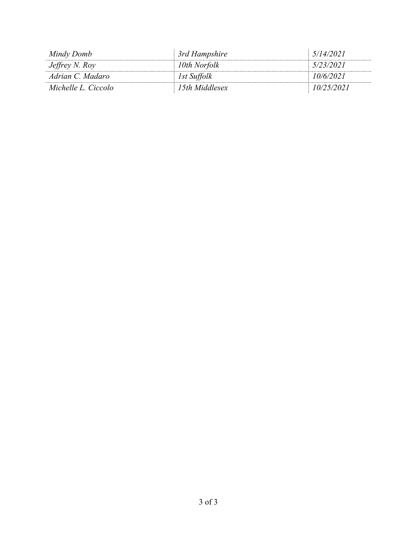| Mindy Domb          | 3rd Hampshire  | 5/14/2021  |
|---------------------|----------------|------------|
| Jeffrey N. Roy      | 10th Norfolk   | 5/23/2021  |
| Adrian C. Madaro    | 1st Suffolk    | 10/6/2021  |
| Michelle L. Ciccolo | 15th Middlesex | 10/25/2021 |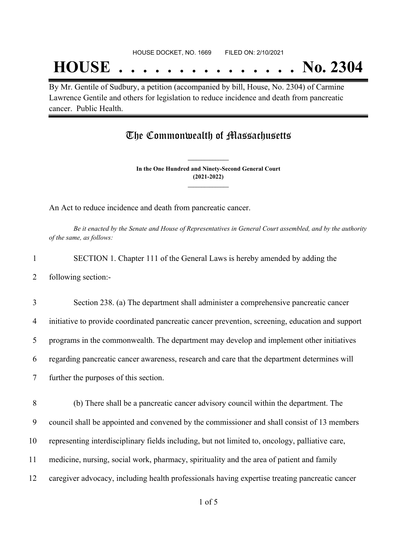## **HOUSE . . . . . . . . . . . . . . . No. 2304**

By Mr. Gentile of Sudbury, a petition (accompanied by bill, House, No. 2304) of Carmine Lawrence Gentile and others for legislation to reduce incidence and death from pancreatic cancer. Public Health.

### The Commonwealth of Massachusetts

**In the One Hundred and Ninety-Second General Court (2021-2022) \_\_\_\_\_\_\_\_\_\_\_\_\_\_\_**

**\_\_\_\_\_\_\_\_\_\_\_\_\_\_\_**

An Act to reduce incidence and death from pancreatic cancer.

Be it enacted by the Senate and House of Representatives in General Court assembled, and by the authority *of the same, as follows:*

1 SECTION 1. Chapter 111 of the General Laws is hereby amended by adding the

2 following section:-

 Section 238. (a) The department shall administer a comprehensive pancreatic cancer initiative to provide coordinated pancreatic cancer prevention, screening, education and support programs in the commonwealth. The department may develop and implement other initiatives regarding pancreatic cancer awareness, research and care that the department determines will further the purposes of this section.

 (b) There shall be a pancreatic cancer advisory council within the department. The council shall be appointed and convened by the commissioner and shall consist of 13 members representing interdisciplinary fields including, but not limited to, oncology, palliative care, medicine, nursing, social work, pharmacy, spirituality and the area of patient and family caregiver advocacy, including health professionals having expertise treating pancreatic cancer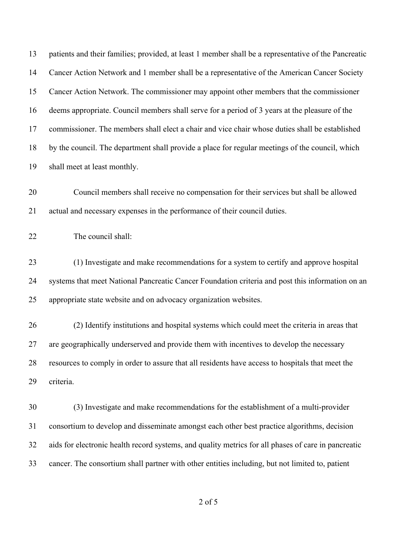| 13 | patients and their families; provided, at least 1 member shall be a representative of the Pancreatic |
|----|------------------------------------------------------------------------------------------------------|
| 14 | Cancer Action Network and 1 member shall be a representative of the American Cancer Society          |
| 15 | Cancer Action Network. The commissioner may appoint other members that the commissioner              |
| 16 | deems appropriate. Council members shall serve for a period of 3 years at the pleasure of the        |
| 17 | commissioner. The members shall elect a chair and vice chair whose duties shall be established       |
| 18 | by the council. The department shall provide a place for regular meetings of the council, which      |
| 19 | shall meet at least monthly.                                                                         |
| 20 | Council members shall receive no compensation for their services but shall be allowed                |
| 21 | actual and necessary expenses in the performance of their council duties.                            |
| 22 | The council shall:                                                                                   |
| 23 | (1) Investigate and make recommendations for a system to certify and approve hospital                |
| 24 | systems that meet National Pancreatic Cancer Foundation criteria and post this information on an     |
| 25 | appropriate state website and on advocacy organization websites.                                     |
| 26 | (2) Identify institutions and hospital systems which could meet the criteria in areas that           |
| 27 | are geographically underserved and provide them with incentives to develop the necessary             |
| 28 | resources to comply in order to assure that all residents have access to hospitals that meet the     |
| 29 | criteria.                                                                                            |
| 30 | (3) Investigate and make recommendations for the establishment of a multi-provider                   |
| 31 | consortium to develop and disseminate amongst each other best practice algorithms, decision          |
| 32 | aids for electronic health record systems, and quality metrics for all phases of care in pancreatic  |
| 33 | cancer. The consortium shall partner with other entities including, but not limited to, patient      |

of 5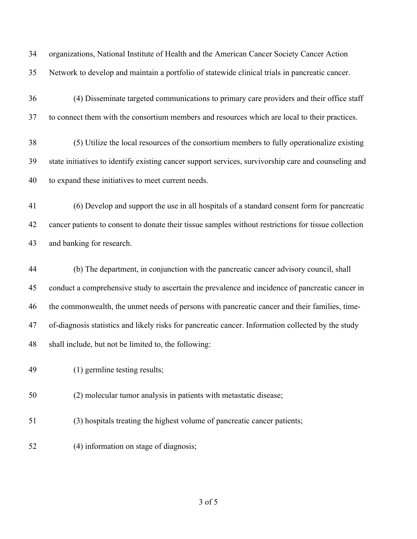organizations, National Institute of Health and the American Cancer Society Cancer Action Network to develop and maintain a portfolio of statewide clinical trials in pancreatic cancer.

 (4) Disseminate targeted communications to primary care providers and their office staff to connect them with the consortium members and resources which are local to their practices.

 (5) Utilize the local resources of the consortium members to fully operationalize existing state initiatives to identify existing cancer support services, survivorship care and counseling and to expand these initiatives to meet current needs.

 (6) Develop and support the use in all hospitals of a standard consent form for pancreatic cancer patients to consent to donate their tissue samples without restrictions for tissue collection and banking for research.

 (b) The department, in conjunction with the pancreatic cancer advisory council, shall conduct a comprehensive study to ascertain the prevalence and incidence of pancreatic cancer in the commonwealth, the unmet needs of persons with pancreatic cancer and their families, time- of-diagnosis statistics and likely risks for pancreatic cancer. Information collected by the study shall include, but not be limited to, the following:

(1) germline testing results;

(2) molecular tumor analysis in patients with metastatic disease;

(3) hospitals treating the highest volume of pancreatic cancer patients;

(4) information on stage of diagnosis;

of 5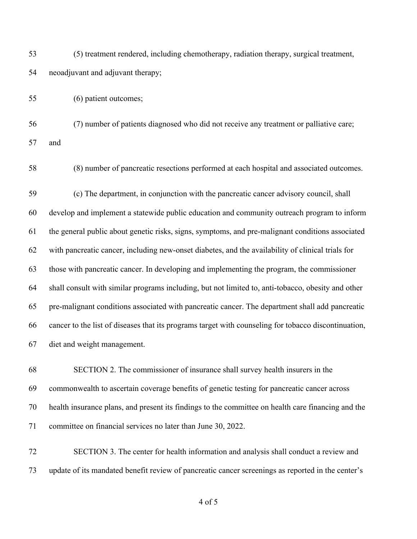(5) treatment rendered, including chemotherapy, radiation therapy, surgical treatment, neoadjuvant and adjuvant therapy;

(6) patient outcomes;

 (7) number of patients diagnosed who did not receive any treatment or palliative care; and

(8) number of pancreatic resections performed at each hospital and associated outcomes.

 (c) The department, in conjunction with the pancreatic cancer advisory council, shall develop and implement a statewide public education and community outreach program to inform the general public about genetic risks, signs, symptoms, and pre-malignant conditions associated with pancreatic cancer, including new-onset diabetes, and the availability of clinical trials for those with pancreatic cancer. In developing and implementing the program, the commissioner shall consult with similar programs including, but not limited to, anti-tobacco, obesity and other pre-malignant conditions associated with pancreatic cancer. The department shall add pancreatic cancer to the list of diseases that its programs target with counseling for tobacco discontinuation, diet and weight management.

 SECTION 2. The commissioner of insurance shall survey health insurers in the commonwealth to ascertain coverage benefits of genetic testing for pancreatic cancer across health insurance plans, and present its findings to the committee on health care financing and the committee on financial services no later than June 30, 2022.

 SECTION 3. The center for health information and analysis shall conduct a review and update of its mandated benefit review of pancreatic cancer screenings as reported in the center's

of 5